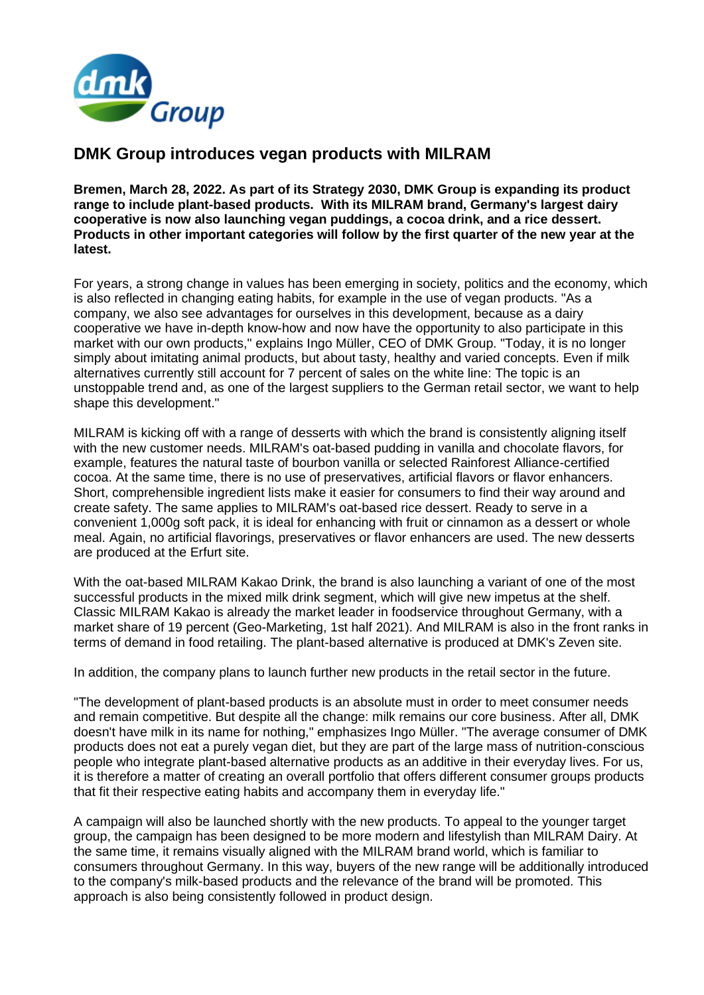

# **DMK Group introduces vegan products with MILRAM**

**Bremen, March 28, 2022. As part of its Strategy 2030, DMK Group is expanding its product range to include plant-based products. With its MILRAM brand, Germany's largest dairy cooperative is now also launching vegan puddings, a cocoa drink, and a rice dessert. Products in other important categories will follow by the first quarter of the new year at the latest.** 

For years, a strong change in values has been emerging in society, politics and the economy, which is also reflected in changing eating habits, for example in the use of vegan products. "As a company, we also see advantages for ourselves in this development, because as a dairy cooperative we have in-depth know-how and now have the opportunity to also participate in this market with our own products," explains Ingo Müller, CEO of DMK Group. "Today, it is no longer simply about imitating animal products, but about tasty, healthy and varied concepts. Even if milk alternatives currently still account for 7 percent of sales on the white line: The topic is an unstoppable trend and, as one of the largest suppliers to the German retail sector, we want to help shape this development."

MILRAM is kicking off with a range of desserts with which the brand is consistently aligning itself with the new customer needs. MILRAM's oat-based pudding in vanilla and chocolate flavors, for example, features the natural taste of bourbon vanilla or selected Rainforest Alliance-certified cocoa. At the same time, there is no use of preservatives, artificial flavors or flavor enhancers. Short, comprehensible ingredient lists make it easier for consumers to find their way around and create safety. The same applies to MILRAM's oat-based rice dessert. Ready to serve in a convenient 1,000g soft pack, it is ideal for enhancing with fruit or cinnamon as a dessert or whole meal. Again, no artificial flavorings, preservatives or flavor enhancers are used. The new desserts are produced at the Erfurt site.

With the oat-based MILRAM Kakao Drink, the brand is also launching a variant of one of the most successful products in the mixed milk drink segment, which will give new impetus at the shelf. Classic MILRAM Kakao is already the market leader in foodservice throughout Germany, with a market share of 19 percent (Geo-Marketing, 1st half 2021). And MILRAM is also in the front ranks in terms of demand in food retailing. The plant-based alternative is produced at DMK's Zeven site.

In addition, the company plans to launch further new products in the retail sector in the future.

"The development of plant-based products is an absolute must in order to meet consumer needs and remain competitive. But despite all the change: milk remains our core business. After all, DMK doesn't have milk in its name for nothing," emphasizes Ingo Müller. "The average consumer of DMK products does not eat a purely vegan diet, but they are part of the large mass of nutrition-conscious people who integrate plant-based alternative products as an additive in their everyday lives. For us, it is therefore a matter of creating an overall portfolio that offers different consumer groups products that fit their respective eating habits and accompany them in everyday life."

A campaign will also be launched shortly with the new products. To appeal to the younger target group, the campaign has been designed to be more modern and lifestylish than MILRAM Dairy. At the same time, it remains visually aligned with the MILRAM brand world, which is familiar to consumers throughout Germany. In this way, buyers of the new range will be additionally introduced to the company's milk-based products and the relevance of the brand will be promoted. This approach is also being consistently followed in product design.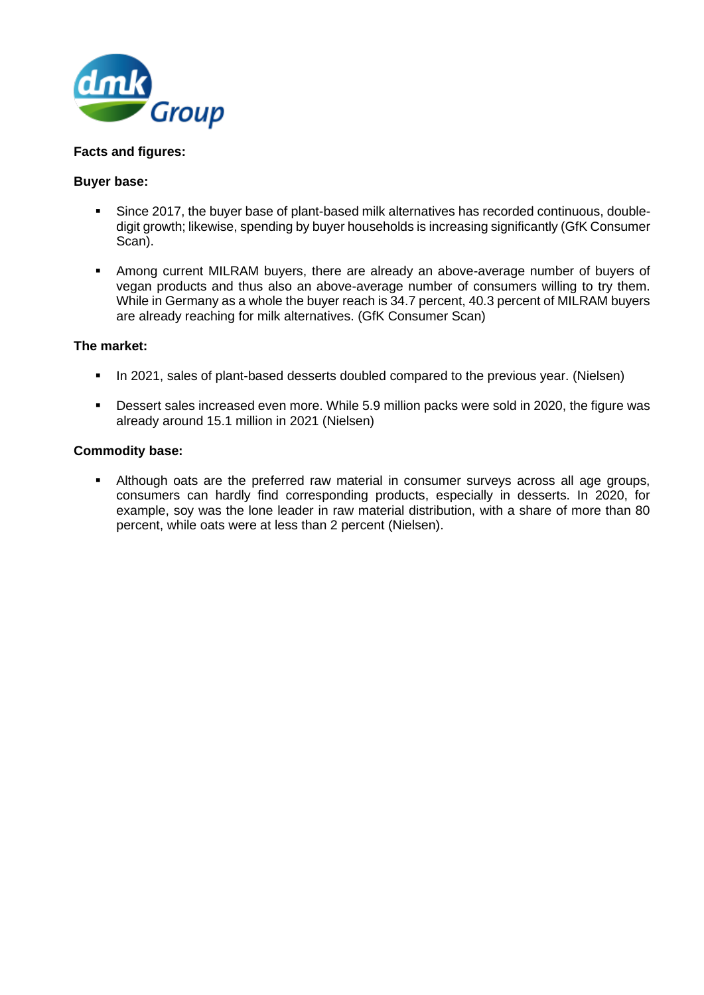

## **Facts and figures:**

### **Buyer base:**

- Since 2017, the buyer base of plant-based milk alternatives has recorded continuous, doubledigit growth; likewise, spending by buyer households is increasing significantly (GfK Consumer Scan).
- **■** Among current MILRAM buyers, there are already an above-average number of buyers of vegan products and thus also an above-average number of consumers willing to try them. While in Germany as a whole the buyer reach is 34.7 percent, 40.3 percent of MILRAM buyers are already reaching for milk alternatives. (GfK Consumer Scan)

## **The market:**

- **•** In 2021, sales of plant-based desserts doubled compared to the previous year. (Nielsen)
- Dessert sales increased even more. While 5.9 million packs were sold in 2020, the figure was already around 15.1 million in 2021 (Nielsen)

### **Commodity base:**

▪ Although oats are the preferred raw material in consumer surveys across all age groups, consumers can hardly find corresponding products, especially in desserts. In 2020, for example, soy was the lone leader in raw material distribution, with a share of more than 80 percent, while oats were at less than 2 percent (Nielsen).